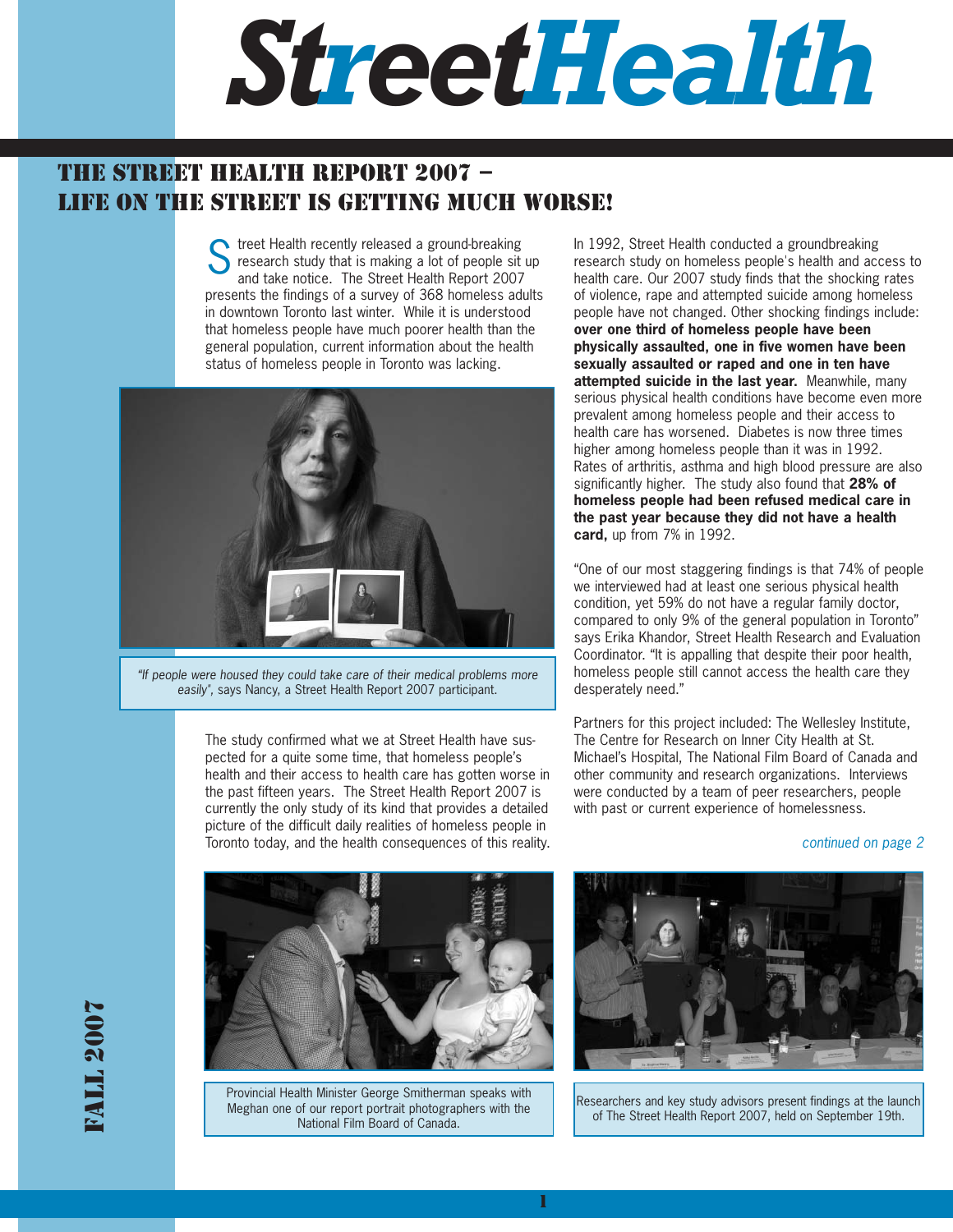

# THE STREET HEALTH REPORT 2007 – LIFE ON THE STREET IS GETTING MUCH WORSE!

Street Health recently released a ground-breaking<br>
Stressarch study that is making a lot of people sit research study that is making a lot of people sit up and take notice. The Street Health Report 2007 presents the findings of a survey of 368 homeless adults in downtown Toronto last winter. While it is understood that homeless people have much poorer health than the general population, current information about the health status of homeless people in Toronto was lacking.



"If people were housed they could take care of their medical problems more easily", says Nancy, a Street Health Report 2007 participant.

The study confirmed what we at Street Health have suspected for a quite some time, that homeless people's health and their access to health care has gotten worse in the past fifteen years. The Street Health Report 2007 is currently the only study of its kind that provides a detailed picture of the difficult daily realities of homeless people in Toronto today, and the health consequences of this reality.

In 1992, Street Health conducted a groundbreaking research study on homeless people's health and access to health care. Our 2007 study finds that the shocking rates of violence, rape and attempted suicide among homeless people have not changed. Other shocking findings include: **over one third of homeless people have been physically assaulted, one in five women have been sexually assaulted or raped and one in ten have attempted suicide in the last year.** Meanwhile, many serious physical health conditions have become even more prevalent among homeless people and their access to health care has worsened. Diabetes is now three times higher among homeless people than it was in 1992. Rates of arthritis, asthma and high blood pressure are also significantly higher. The study also found that **28% of homeless people had been refused medical care in the past year because they did not have a health card,** up from 7% in 1992.

"One of our most staggering findings is that 74% of people we interviewed had at least one serious physical health condition, yet 59% do not have a regular family doctor, compared to only 9% of the general population in Toronto" says Erika Khandor, Street Health Research and Evaluation Coordinator. "It is appalling that despite their poor health, homeless people still cannot access the health care they desperately need."

Partners for this project included: The Wellesley Institute, The Centre for Research on Inner City Health at St. Michael's Hospital, The National Film Board of Canada and other community and research organizations. Interviews were conducted by a team of peer researchers, people with past or current experience of homelessness.

continued on page 2



Provincial Health Minister George Smitherman speaks with Meghan one of our report portrait photographers with the National Film Board of Canada.



Researchers and key study advisors present findings at the launch of The Street Health Report 2007, held on September 19th.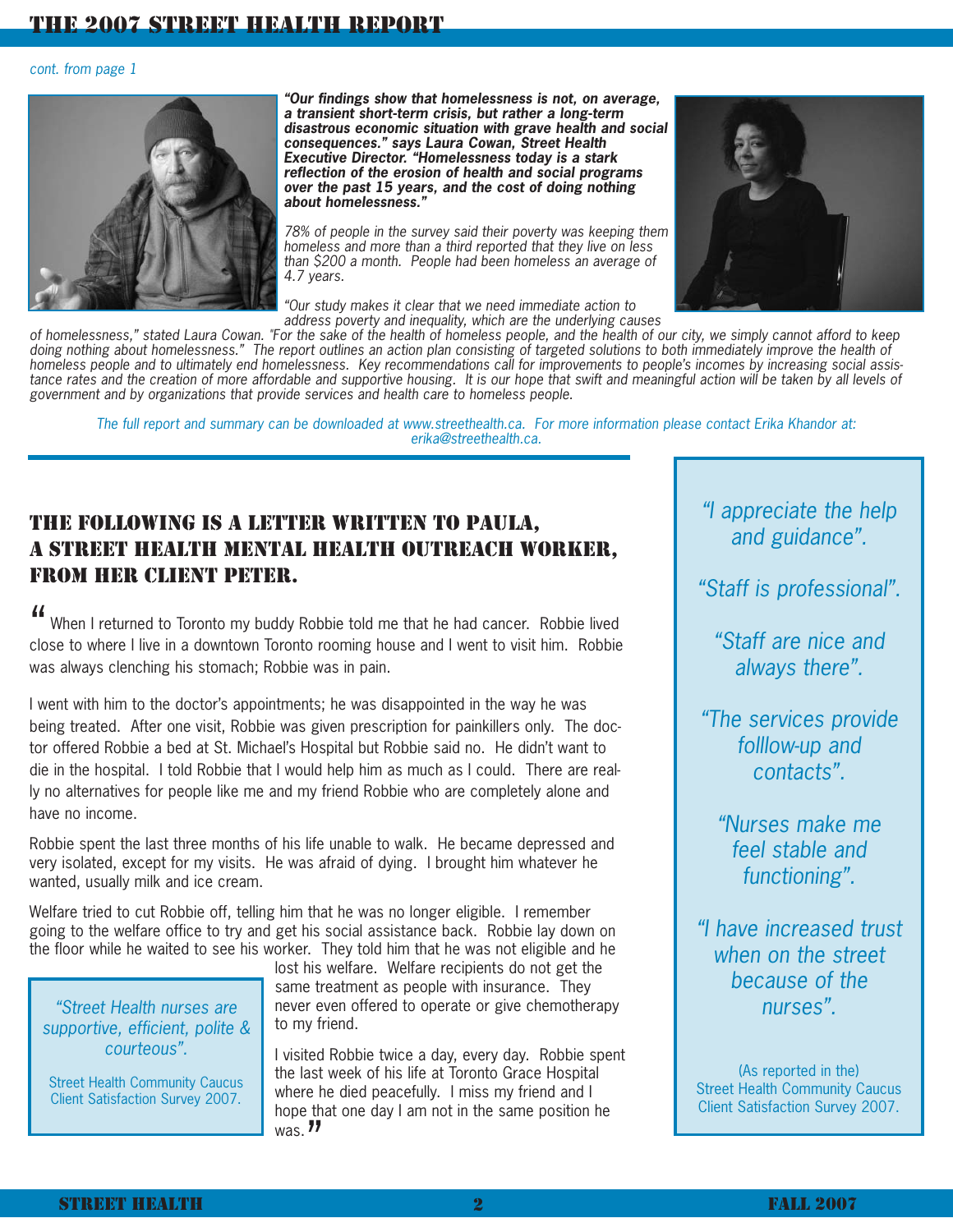## THE 2007 STREET HEALTH REPORT

#### cont. from page 1



**"Our findings show that homelessness is not, on average, a transient short-term crisis, but rather a long-term disastrous economic situation with grave health and social consequences." says Laura Cowan, Street Health Executive Director. "Homelessness today is a stark reflection of the erosion of health and social programs over the past 15 years, and the cost of doing nothing about homelessness."** 

78% of people in the survey said their poverty was keeping them homeless and more than a third reported that they live on less than \$200 a month. People had been homeless an average of 4.7 years.



"Our study makes it clear that we need immediate action to address poverty and inequality, which are the underlying causes

of homelessness," stated Laura Cowan. "For the sake of the health of homeless people, and the health of our city, we simply cannot afford to keep doing nothing about homelessness." The report outlines an action plan consisting of targeted solutions to both immediately improve the health of homeless people and to ultimately end homelessness. Key recommendations call for improvements to people's incomes by increasing social assistance rates and the creation of more affordable and supportive housing. It is our hope that swift and meaningful action will be taken by all levels of government and by organizations that provide services and health care to homeless people.

The full report and summary can be downloaded at www.streethealth.ca. For more information please contact Erika Khandor at: erika@streethealth.ca.

## THE FOLLOWING IS A LETTER WRITTEN TO PAULA, A STREET HEALTH MENTAL HEALTH OUTREACH WORKER, FROM HER CLIENT PETER.

When I returned to Toronto my buddy Robbie told me that he had cancer. Robbie lived " close to where I live in a downtown Toronto rooming house and I went to visit him. Robbie was always clenching his stomach; Robbie was in pain.

I went with him to the doctor's appointments; he was disappointed in the way he was being treated. After one visit, Robbie was given prescription for painkillers only. The doctor offered Robbie a bed at St. Michael's Hospital but Robbie said no. He didn't want to die in the hospital. I told Robbie that I would help him as much as I could. There are really no alternatives for people like me and my friend Robbie who are completely alone and have no income.

Robbie spent the last three months of his life unable to walk. He became depressed and very isolated, except for my visits. He was afraid of dying. I brought him whatever he wanted, usually milk and ice cream.

Welfare tried to cut Robbie off, telling him that he was no longer eligible. I remember going to the welfare office to try and get his social assistance back. Robbie lay down on the floor while he waited to see his worker. They told him that he was not eligible and he

"Street Health nurses are supportive, efficient, polite & courteous".

Street Health Community Caucus Client Satisfaction Survey 2007.

lost his welfare. Welfare recipients do not get the same treatment as people with insurance. They never even offered to operate or give chemotherapy to my friend.

I visited Robbie twice a day, every day. Robbie spent the last week of his life at Toronto Grace Hospital where he died peacefully. I miss my friend and I hope that one day I am not in the same position he  $\frac{1}{10}$  was.  $\frac{1}{2}$ 

"I appreciate the help and guidance".

"Staff is professional".

"Staff are nice and always there".

"The services provide folllow-up and contacts".

"Nurses make me feel stable and functioning".

"I have increased trust when on the street because of the nurses".

(As reported in the) Street Health Community Caucus Client Satisfaction Survey 2007.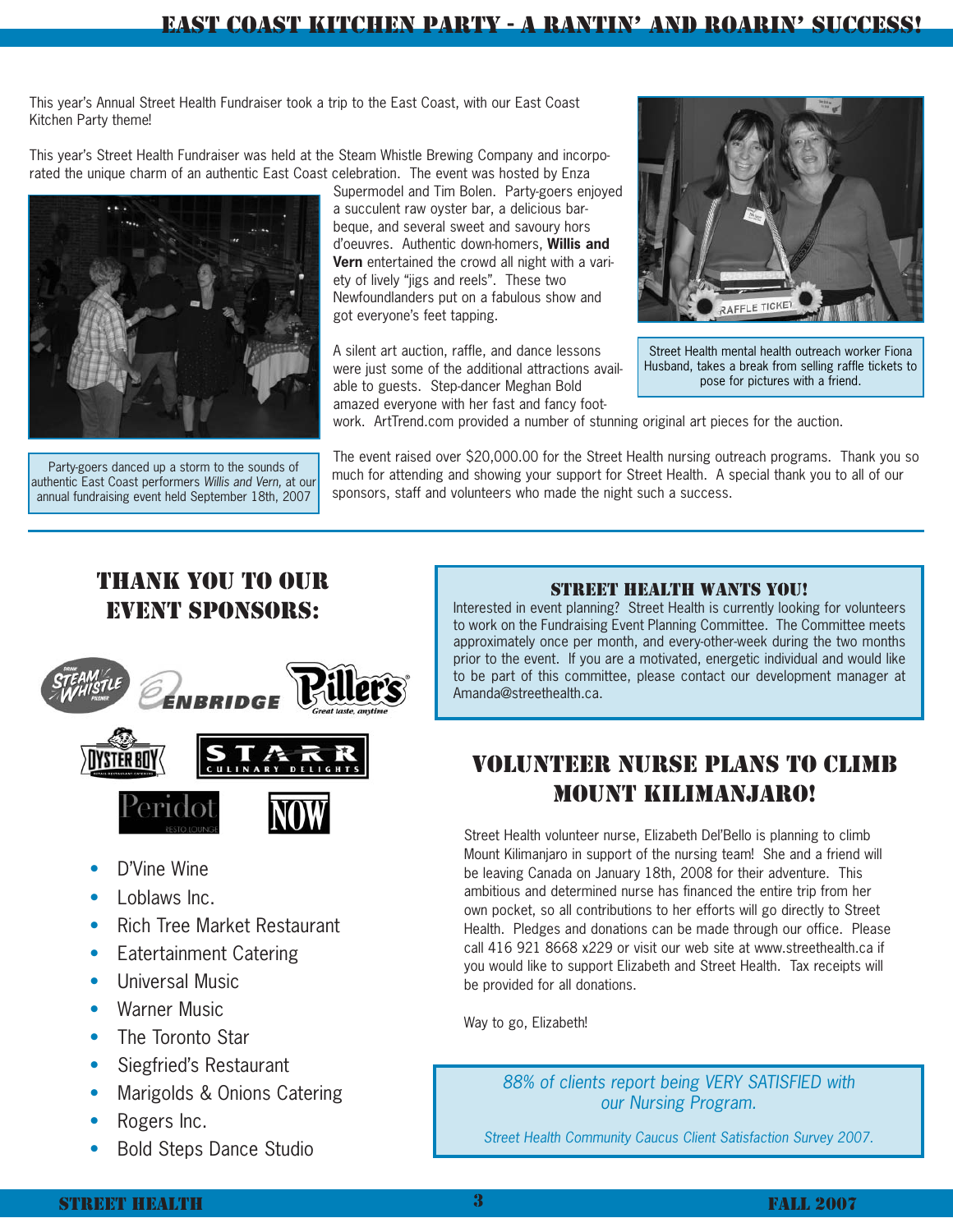This year's Annual Street Health Fundraiser took a trip to the East Coast, with our East Coast Kitchen Party theme!

This year's Street Health Fundraiser was held at the Steam Whistle Brewing Company and incorporated the unique charm of an authentic East Coast celebration. The event was hosted by Enza



Party-goers danced up a storm to the sounds of authentic East Coast performers Willis and Vern, at our annual fundraising event held September 18th, 2007

Supermodel and Tim Bolen. Party-goers enjoyed a succulent raw oyster bar, a delicious barbeque, and several sweet and savoury hors d'oeuvres. Authentic down-homers, **Willis and Vern** entertained the crowd all night with a variety of lively "jigs and reels". These two Newfoundlanders put on a fabulous show and got everyone's feet tapping.

A silent art auction, raffle, and dance lessons were just some of the additional attractions available to guests. Step-dancer Meghan Bold amazed everyone with her fast and fancy foot-



Street Health mental health outreach worker Fiona Husband, takes a break from selling raffle tickets to pose for pictures with a friend.

work. ArtTrend.com provided a number of stunning original art pieces for the auction.

The event raised over \$20,000.00 for the Street Health nursing outreach programs. Thank you so much for attending and showing your support for Street Health. A special thank you to all of our sponsors, staff and volunteers who made the night such a success.

# THANK YOU TO OUR EVENT SPONSORS:



- D'Vine Wine
- Loblaws Inc.
- Rich Tree Market Restaurant
- Eatertainment Catering
- Universal Music
- Warner Music
- The Toronto Star
- Siegfried's Restaurant
- Marigolds & Onions Catering
- Rogers Inc.
- Bold Steps Dance Studio

## STREET HEALTH WANTS YOU!

Interested in event planning? Street Health is currently looking for volunteers to work on the Fundraising Event Planning Committee. The Committee meets approximately once per month, and every-other-week during the two months prior to the event. If you are a motivated, energetic individual and would like to be part of this committee, please contact our development manager at Amanda@streethealth.ca.

# VOLUNTEER NURSE PLANS TO CLIMB MOUNT KILIMANJARO!

Street Health volunteer nurse, Elizabeth Del'Bello is planning to climb Mount Kilimanjaro in support of the nursing team! She and a friend will be leaving Canada on January 18th, 2008 for their adventure. This ambitious and determined nurse has financed the entire trip from her own pocket, so all contributions to her efforts will go directly to Street Health. Pledges and donations can be made through our office. Please call 416 921 8668 x229 or visit our web site at www.streethealth.ca if you would like to support Elizabeth and Street Health. Tax receipts will be provided for all donations.

Way to go, Elizabeth!

88% of clients report being VERY SATISFIED with our Nursing Program.

Street Health Community Caucus Client Satisfaction Survey 2007.